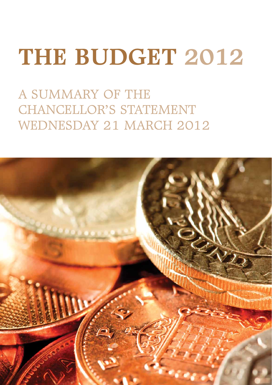## **The Budget 2012**

A Summary of the CHANCELLOR'S STATEMENT Wednesday 21 March 2012

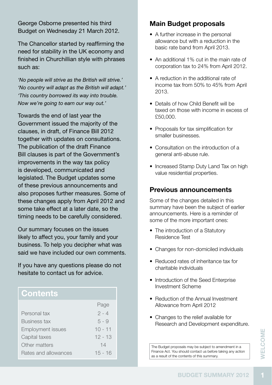George Osborne presented his third Budget on Wednesday 21 March 2012.

The Chancellor started by reaffirming the need for stability in the UK economy and finished in Churchillian style with phrases such as:

*'No people will strive as the British will strive.' 'No country will adapt as the British will adapt.' 'This country borrowed its way into trouble. Now we're going to earn our way out.'*

Towards the end of last year the Government issued the majority of the clauses, in draft, of Finance Bill 2012 together with updates on consultations. The publication of the draft Finance Bill clauses is part of the Government's improvements in the way tax policy is developed, communicated and legislated. The Budget updates some of these previous announcements and also proposes further measures. Some of these changes apply from April 2012 and some take effect at a later date, so the timing needs to be carefully considered.

Our summary focuses on the issues likely to affect you, your family and your business. To help you decipher what was said we have included our own comments.

If you have any questions please do not hesitate to contact us for advice.

## **Contents**

|                          | Page      |
|--------------------------|-----------|
| Personal tax             | $2 - 4$   |
| Business tax             | $5 - 9$   |
| <b>Employment issues</b> | $10 - 11$ |
| Capital taxes            | $12 - 13$ |
| Other matters            | 14        |
| Rates and allowances     | $15 - 16$ |

#### **Main Budget proposals**

- A further increase in the personal allowance but with a reduction in the basic rate band from April 2013.
- An additional 1% cut in the main rate of corporation tax to 24% from April 2012.
- A reduction in the additional rate of income tax from 50% to 45% from April 2013.
- Details of how Child Benefit will be taxed on those with income in excess of £50,000.
- Proposals for tax simplification for smaller businesses.
- Consultation on the introduction of a general anti-abuse rule.
- Increased Stamp Duty Land Tax on high value residential properties.

#### **Previous announcements**

Some of the changes detailed in this summary have been the subject of earlier announcements. Here is a reminder of some of the more important ones:

- The introduction of a Statutory Residence Test
- Changes for non-domiciled individuals
- Reduced rates of inheritance tax for charitable individuals
- Introduction of the Seed Enterprise Investment Scheme
- Reduction of the Annual Investment Allowance from April 2012
- Changes to the relief available for Research and Development expenditure.

**BUDGET SUMMARY 2012**<br> **BUDGET SUMMARY 2012** The Budget proposals may be subject to amendment in a Finance Act. You should contact us before taking any action as a result of the contents of this summary.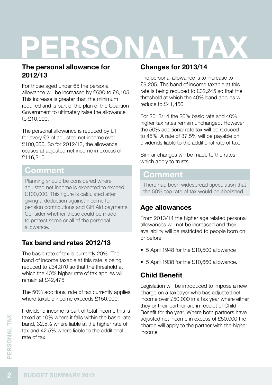# **Personal tax**

#### **The personal allowance for 2012/13**

For those aged under 65 the personal allowance will be increased by £630 to £8,105. This increase is greater than the minimum required and is part of the plan of the Coalition Government to ultimately raise the allowance to £10,000.

The personal allowance is reduced by £1 for every £2 of adjusted net income over £100,000. So for 2012/13, the allowance ceases at adjusted net income in excess of £116,210.

## **Comment**

Planning should be considered where adjusted net income is expected to exceed £100,000. This figure is calculated after giving a deduction against income for pension contributions and Gift Aid payments. Consider whether these could be made to protect some or all of the personal allowance.

## **Tax band and rates 2012/13**

The basic rate of tax is currently 20%. The band of income taxable at this rate is being reduced to £34,370 so that the threshold at which the 40% higher rate of tax applies will remain at £42,475.

The 50% additional rate of tax currently applies where taxable income exceeds £150,000.

**22 band, 32.5% where it falls within band, 32.5% where liable at the tax and 42.5% where liable to the rate of tax.<br>
<b>2 BUDGET SUMMARY 2012** If dividend income is part of total income this is taxed at 10% where it falls within the basic rate band, 32.5% where liable at the higher rate of tax and 42.5% where liable to the additional rate of tax.

#### **Changes for 2013/14**

The personal allowance is to increase to £9,205. The band of income taxable at this rate is being reduced to £32,245 so that the threshold at which the 40% band applies will reduce to £41,450.

For 2013/14 the 20% basic rate and 40% higher tax rates remain unchanged. However the 50% additional rate tax will be reduced to 45%. A rate of 37.5% will be payable on dividends liable to the additional rate of tax.

Similar changes will be made to the rates which apply to trusts.

## **Comment**

There had been widespread speculation that the 50% top rate of tax would be abolished.

## **Age allowances**

From 2013/14 the higher age related personal allowances will not be increased and their availability will be restricted to people born on or before:

- 5 April 1948 for the £10,500 allowance
- 5 April 1938 for the £10,660 allowance.

## **Child Benefit**

Legislation will be introduced to impose a new charge on a taxpayer who has adjusted net income over £50,000 in a tax year where either they or their partner are in receipt of Child Benefit for the year. Where both partners have adjusted net income in excess of £50,000 the charge will apply to the partner with the higher income.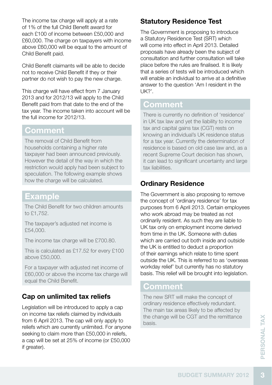The income tax charge will apply at a rate of 1% of the full Child Benefit award for each £100 of income between £50,000 and £60,000. The charge on taxpayers with income above £60,000 will be equal to the amount of Child Benefit paid.

Child Benefit claimants will be able to decide not to receive Child Benefit if they or their partner do not wish to pay the new charge.

This charge will have effect from 7 January 2013 and for 2012/13 will apply to the Child Benefit paid from that date to the end of the tax year. The income taken into account will be the full income for 2012/13.

#### **Comment**

The removal of Child Benefit from households containing a higher rate taxpayer had been announced previously. However the detail of the way in which the restriction would apply had been subject to speculation. The following example shows how the charge will be calculated.

## **Example**

The Child Benefit for two children amounts to £1,752.

The taxpayer's adjusted net income is £54,000.

The income tax charge will be £700.80.

This is calculated as £17.52 for every £100 above £50,000.

For a taxpayer with adjusted net income of £60,000 or above the income tax charge will equal the Child Benefit.

## **Cap on unlimited tax reliefs**

Legislation will be introduced to apply a cap on income tax reliefs claimed by individuals from 6 April 2013. The cap will only apply to reliefs which are currently unlimited. For anyone seeking to claim more than £50,000 in reliefs, a cap will be set at 25% of income (or £50,000 if greater).

#### **Statutory Residence Test**

The Government is proposing to introduce a Statutory Residence Test (SRT) which will come into effect in April 2013. Detailed proposals have already been the subject of consultation and further consultation will take place before the rules are finalised. It is likely that a series of tests will be introduced which will enable an individual to arrive at a definitive answer to the question 'Am I resident in the  $IIK?$ 

## **Comment**

There is currently no definition of 'residence' in UK tax law and yet the liability to income tax and capital gains tax (CGT) rests on knowing an individual's UK residence status for a tax year. Currently the determination of residence is based on old case law and, as a recent Supreme Court decision has shown, it can lead to significant uncertainty and large tax liabilities.

#### **Ordinary Residence**

The Government is also proposing to remove the concept of 'ordinary residence' for tax purposes from 6 April 2013. Certain employees who work abroad may be treated as not ordinarily resident. As such they are liable to UK tax only on employment income derived from time in the UK. Someone with duties which are carried out both inside and outside the UK is entitled to deduct a proportion of their earnings which relate to time spent outside the UK. This is referred to as 'overseas workday relief' but currently has no statutory basis. This relief will be brought into legislation.

## **Comment**

**BUDGET SUMMARY 2012**<br>BUDGET SUMMARY 2012 The new SRT will make the concept of ordinary residence effectively redundant. The main tax areas likely to be affected by the change will be CGT and the remittance basis.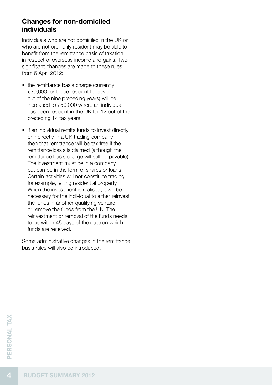#### **Changes for non-domiciled individuals**

Individuals who are not domiciled in the UK or who are not ordinarily resident may be able to benefit from the remittance basis of taxation in respect of overseas income and gains. Two significant changes are made to these rules from 6 April 2012:

- the remittance basis charge (currently £30,000 for those resident for seven out of the nine preceding years) will be increased to £50,000 where an individual has been resident in the UK for 12 out of the preceding 14 tax years
- if an individual remits funds to invest directly or indirectly in a UK trading company then that remittance will be tax free if the remittance basis is claimed (although the remittance basis charge will still be payable). The investment must be in a company but can be in the form of shares or loans. Certain activities will not constitute trading, for example, letting residential property. When the investment is realised, it will be necessary for the individual to either reinvest the funds in another qualifying venture or remove the funds from the UK. The reinvestment or removal of the funds needs to be within 45 days of the date on which funds are received.

Some administrative changes in the remittance basis rules will also be introduced.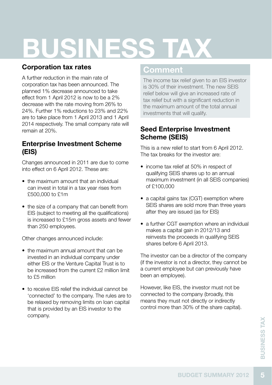# **business Tax**

#### **Corporation tax rates**

A further reduction in the main rate of corporation tax has been announced. The planned 1% decrease announced to take effect from 1 April 2012 is now to be a 2% decrease with the rate moving from 26% to 24%. Further 1% reductions to 23% and 22% are to take place from 1 April 2013 and 1 April 2014 respectively. The small company rate will remain at 20%.

#### **Enterprise Investment Scheme (EIS)**

Changes announced in 2011 are due to come into effect on 6 April 2012. These are:

- the maximum amount that an individual can invest in total in a tax year rises from £500,000 to £1m
- the size of a company that can benefit from EIS (subject to meeting all the qualifications) is increased to £15m gross assets and fewer than 250 employees.

Other changes announced include:

- the maximum annual amount that can be invested in an individual company under either EIS or the Venture Capital Trust is to be increased from the current £2 million limit to £5 million
- to receive EIS relief the individual cannot be 'connected' to the company. The rules are to be relaxed by removing limits on loan capital that is provided by an EIS investor to the company.

## **Comment**

The income tax relief given to an EIS investor is 30% of their investment. The new SEIS relief below will give an increased rate of tax relief but with a significant reduction in the maximum amount of the total annual investments that will qualify.

#### **Seed Enterprise Investment Scheme (SEIS)**

This is a new relief to start from 6 April 2012. The tax breaks for the investor are:

- income tax relief at 50% in respect of qualifying SEIS shares up to an annual maximum investment (in all SEIS companies) of £100,000
- a capital gains tax (CGT) exemption where SEIS shares are sold more than three years after they are issued (as for EIS)
- a further CGT exemption where an individual makes a capital gain in 2012/13 and reinvests the proceeds in qualifying SEIS shares before 6 April 2013.

The investor can be a director of the company (if the investor is not a director, they cannot be a current employee but can previously have been an employee).

However, like EIS, the investor must not be connected to the company (broadly, this means they must not directly or indirectly control more than 30% of the share capital).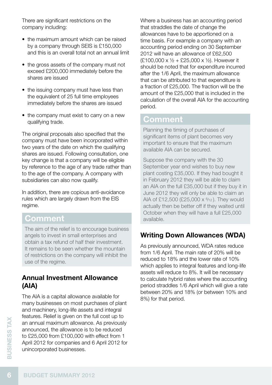There are significant restrictions on the company including:

- the maximum amount which can be raised by a company through SEIS is £150,000 and this is an overall total not an annual limit
- the gross assets of the company must not exceed £200,000 immediately before the shares are issued
- the issuing company must have less than the equivalent of 25 full time employees immediately before the shares are issued
- the company must exist to carry on a new qualifying trade.

The original proposals also specified that the company must have been incorporated within two years of the date on which the qualifying shares are issued. Following consultation, one key change is that a company will be eligible by reference to the age of any trade rather than to the age of the company. A company with subsidiaries can also now qualify.

In addition, there are copious anti-avoidance rules which are largely drawn from the EIS regime.

## **Comment**

The aim of the relief is to encourage business angels to invest in small enterprises and obtain a tax refund of half their investment. It remains to be seen whether the mountain of restrictions on the company will inhibit the use of the regime.

#### **Annual Investment Allowance (AIA)**

The AIA is a capital allowance available for many businesses on most purchases of plant and machinery, long-life assets and integral features. Relief is given on the full cost up to an annual maximum allowance. As previously announced, the allowance is to be reduced to £25,000 from £100,000 with effect from 1 April 2012 for companies and 6 April 2012 for unincorporated businesses.

Where a business has an accounting period that straddles the date of change the allowances have to be apportioned on a time basis. For example a company with an accounting period ending on 30 September 2012 will have an allowance of £62,500 (£100,000 x ½ + £25,000 x ½). However it should be noted that for expenditure incurred after the 1/6 April, the maximum allowance that can be attributed to that expenditure is a fraction of £25,000. The fraction will be the amount of the £25,000 that is included in the calculation of the overall AIA for the accounting period.

#### **Comment**

Planning the timing of purchases of significant items of plant becomes very important to ensure that the maximum available AIA can be secured.

Suppose the company with the 30 September year end wishes to buy new plant costing £35,000. If they had bought it in February 2012 they will be able to claim an AIA on the full £35,000 but if they buy it in June 2012 they will only be able to claim an AIA of £12,500 (£25,000  $\times$   $6/12$ ). They would actually then be better off if they waited until October when they will have a full £25,000 available.

#### **Writing Down Allowances (WDA)**

As previously announced, WDA rates reduce from 1/6 April. The main rate of 20% will be reduced to 18% and the lower rate of 10% which applies to integral features and long-life assets will reduce to 8%. It will be necessary to calculate hybrid rates where the accounting period straddles 1/6 April which will give a rate between 20% and 18% (or between 10% and 8%) for that period.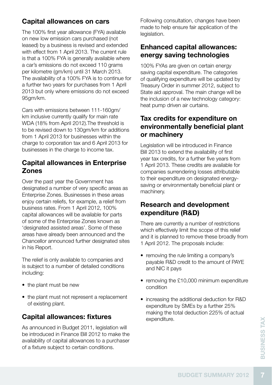#### **Capital allowances on cars**

The 100% first year allowance (FYA) available on new low emission cars purchased (not leased) by a business is revised and extended with effect from 1 April 2013. The current rule is that a 100% FYA is generally available where a car's emissions do not exceed 110 grams per kilometre (gm/km) until 31 March 2013. The availability of a 100% FYA is to continue for a further two years for purchases from 1 April 2013 but only where emissions do not exceed 95gm/km.

Cars with emissions between 111-160gm/ km inclusive currently qualify for main rate WDA (18% from April 2012).The threshold is to be revised down to 130gm/km for additions from 1 April 2013 for businesses within the charge to corporation tax and 6 April 2013 for businesses in the charge to income tax.

#### **Capital allowances in Enterprise Zones**

Over the past year the Government has designated a number of very specific areas as Enterprise Zones. Businesses in these areas enjoy certain reliefs, for example, a relief from business rates. From 1 April 2012, 100% capital allowances will be available for parts of some of the Enterprise Zones known as 'designated assisted areas'. Some of these areas have already been announced and the Chancellor announced further designated sites in his Report.

The relief is only available to companies and is subject to a number of detailed conditions including:

- the plant must be new
- the plant must not represent a replacement of existing plant.

#### **Capital allowances: fixtures**

As announced in Budget 2011, legislation will be introduced in Finance Bill 2012 to make the availability of capital allowances to a purchaser of a fixture subject to certain conditions.

Following consultation, changes have been made to help ensure fair application of the legislation.

#### **Enhanced capital allowances: energy saving technologies**

100% FYAs are given on certain energy saving capital expenditure. The categories of qualifying expenditure will be updated by Treasury Order in summer 2012, subject to State aid approval. The main change will be the inclusion of a new technology category: heat pump driven air curtains.

#### **Tax credits for expenditure on environmentally beneficial plant or machinery**

Legislation will be introduced in Finance Bill 2013 to extend the availability of first year tax credits, for a further five years from 1 April 2013. These credits are available for companies surrendering losses attributable to their expenditure on designated energysaving or environmentally beneficial plant or machinery.

#### **Research and development expenditure (R&D)**

There are currently a number of restrictions which effectively limit the scope of this relief and it is planned to remove these broadly from 1 April 2012. The proposals include:

- removing the rule limiting a company's payable R&D credit to the amount of PAYE and NIC it pays
- removing the £10,000 minimum expenditure condition
- increasing the additional deduction for R&D expenditure by SMEs by a further 25% making the total deduction 225% of actual expenditure.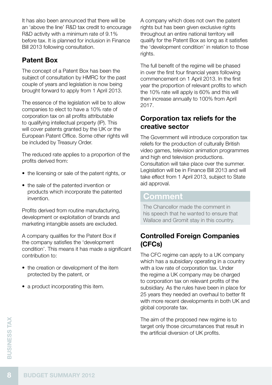It has also been announced that there will be an 'above the line' R&D tax credit to encourage R&D activity with a minimum rate of 9.1% before tax. It is planned for inclusion in Finance Bill 2013 following consultation.

## **Patent Box**

The concept of a Patent Box has been the subject of consultation by HMRC for the past couple of years and legislation is now being brought forward to apply from 1 April 2013.

The essence of the legislation will be to allow companies to elect to have a 10% rate of corporation tax on all profits attributable to qualifying intellectual property (IP). This will cover patents granted by the UK or the European Patent Office. Some other rights will be included by Treasury Order.

The reduced rate applies to a proportion of the profits derived from:

- the licensing or sale of the patent rights, or
- the sale of the patented invention or products which incorporate the patented invention.

Profits derived from routine manufacturing, development or exploitation of brands and marketing intangible assets are excluded.

A company qualifies for the Patent Box if the company satisfies the 'development condition'. This means it has made a significant contribution to:

- the creation or development of the item protected by the patent, or
- a product incorporating this item.

A company which does not own the patent rights but has been given exclusive rights throughout an entire national territory will qualify for the Patent Box as long as it satisfies the 'development condition' in relation to those rights.

The full benefit of the regime will be phased in over the first four financial years following commencement on 1 April 2013. In the first year the proportion of relevant profits to which the 10% rate will apply is 60% and this will then increase annually to 100% from April 2017.

#### **Corporation tax reliefs for the creative sector**

The Government will introduce corporation tax reliefs for the production of culturally British video games, television animation programmes and high end television productions. Consultation will take place over the summer. Legislation will be in Finance Bill 2013 and will take effect from 1 April 2013, subject to State aid approval.

## **Comment**

The Chancellor made the comment in his speech that he wanted to ensure that Wallace and Gromit stay in this country.

#### **Controlled Foreign Companies (CFCs)**

The CFC regime can apply to a UK company which has a subsidiary operating in a country with a low rate of corporation tax. Under the regime a UK company may be charged to corporation tax on relevant profits of the subsidiary. As the rules have been in place for 25 years they needed an overhaul to better fit with more recent developments in both UK and global corporate tax.

The aim of the proposed new regime is to target only those circumstances that result in the artificial diversion of UK profits.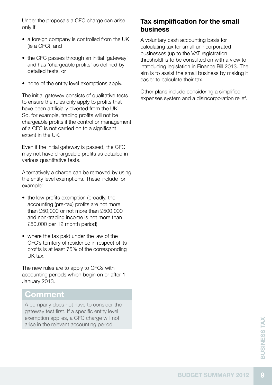Under the proposals a CFC charge can arise only if:

- a foreign company is controlled from the UK (ie a CFC), and
- the CFC passes through an initial 'gateway' and has 'chargeable profits' as defined by detailed tests, or
- none of the entity level exemptions apply.

The initial gateway consists of qualitative tests to ensure the rules only apply to profits that have been artificially diverted from the UK. So, for example, trading profits will not be chargeable profits if the control or management of a CFC is not carried on to a significant extent in the UK.

Even if the initial gateway is passed, the CFC may not have chargeable profits as detailed in various quantitative tests.

Alternatively a charge can be removed by using the entity level exemptions. These include for example:

- the low profits exemption (broadly, the accounting (pre-tax) profits are not more than £50,000 or not more than £500,000 and non-trading income is not more than £50,000 per 12 month period)
- where the tax paid under the law of the CFC's territory of residence in respect of its profits is at least 75% of the corresponding UK tax.

The new rules are to apply to CFCs with accounting periods which begin on or after 1 January 2013.

## **Comment**

A company does not have to consider the gateway test first. If a specific entity level exemption applies, a CFC charge will not arise in the relevant accounting period.

#### **Tax simplification for the small business**

A voluntary cash accounting basis for calculating tax for small unincorporated businesses (up to the VAT registration threshold) is to be consulted on with a view to introducing legislation in Finance Bill 2013. The aim is to assist the small business by making it easier to calculate their tax.

Other plans include considering a simplified expenses system and a disincorporation relief.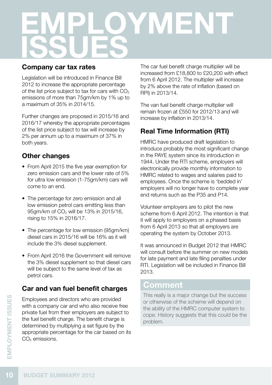# **Employment Issues**

#### **Company car tax rates**

Legislation will be introduced in Finance Bill 2012 to increase the appropriate percentage of the list price subject to tax for cars with  $CO<sub>2</sub>$ emissions of more than 75gm/km by 1% up to a maximum of 35% in 2014/15.

Further changes are proposed in 2015/16 and 2016/17 whereby the appropriate percentages of the list price subject to tax will increase by 2% per annum up to a maximum of 37% in both years.

## **Other changes**

- From April 2015 the five year exemption for zero emission cars and the lower rate of 5% for ultra low emission (1-75gm/km) cars will come to an end.
- The percentage for zero emission and all low emission petrol cars emitting less than 95 am/km of CO<sub>2</sub> will be 13% in 2015/16. rising to 15% in 2016/17.
- The percentage for low emission (95qm/km) diesel cars in 2015/16 will be 16% as it will include the 3% diesel supplement.
- From April 2016 the Government will remove the 3% diesel supplement so that diesel cars will be subject to the same level of tax as petrol cars.

## **Car and van fuel benefit charges**

Employees and directors who are provided with a company car and who also receive free private fuel from their employers are subject to the fuel benefit charge. The benefit charge is determined by multiplying a set figure by the appropriate percentage for the car based on its CO<sub>2</sub> emissions.

The car fuel benefit charge multiplier will be increased from £18,800 to £20,200 with effect from 6 April 2012. The multiplier will increase by 2% above the rate of inflation (based on RPI) in 2013/14.

The van fuel benefit charge multiplier will remain frozen at £550 for 2012/13 and will increase by inflation in 2013/14.

## **Real Time Information (RTI)**

HMRC have produced draft legislation to introduce probably the most significant change in the PAYE system since its introduction in 1944. Under the RTI scheme, employers will electronically provide monthly information to HMRC related to wages and salaries paid to employees. Once the scheme is 'bedded in' employers will no longer have to complete year end returns such as the P35 and P14.

Volunteer employers are to pilot the new scheme from 6 April 2012. The intention is that it will apply to employers on a phased basis from 6 April 2013 so that all employers are operating the system by October 2013.

It was announced in Budget 2012 that HMRC will consult before the summer on new models for late payment and late filing penalties under RTI. Legislation will be included in Finance Bill 2013.

## **Comment**

This really is a major change but the success or otherwise of the scheme will depend on the ability of the HMRC computer system to cope. History suggests that this could be the problem.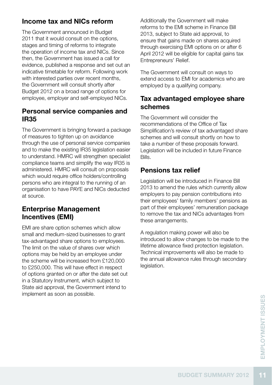#### **Income tax and NICs reform**

The Government announced in Budget 2011 that it would consult on the options, stages and timing of reforms to integrate the operation of income tax and NICs. Since then, the Government has issued a call for evidence, published a response and set out an indicative timetable for reform. Following work with interested parties over recent months, the Government will consult shortly after Budget 2012 on a broad range of options for employee, employer and self-employed NICs.

#### **Personal service companies and IR35**

The Government is bringing forward a package of measures to tighten up on avoidance through the use of personal service companies and to make the existing IR35 legislation easier to understand. HMRC will strengthen specialist compliance teams and simplify the way IR35 is administered. HMRC will consult on proposals which would require office holders/controlling persons who are integral to the running of an organisation to have PAYE and NICs deducted at source.

#### **Enterprise Management Incentives (EMI)**

EMI are share option schemes which allow small and medium-sized businesses to grant tax-advantaged share options to employees. The limit on the value of shares over which options may be held by an employee under the scheme will be increased from £120,000 to £250,000. This will have effect in respect of options granted on or after the date set out in a Statutory Instrument, which subject to State aid approval, the Government intend to implement as soon as possible.

Additionally the Government will make reforms to the EMI scheme in Finance Bill 2013, subject to State aid approval, to ensure that gains made on shares acquired through exercising EMI options on or after 6 April 2012 will be eligible for capital gains tax Entrepreneurs' Relief.

The Government will consult on ways to extend access to EMI for academics who are employed by a qualifying company.

#### **Tax advantaged employee share schemes**

The Government will consider the recommendations of the Office of Tax Simplification's review of tax advantaged share schemes and will consult shortly on how to take a number of these proposals forward. Legislation will be included in future Finance Bills.

#### **Pensions tax relief**

Legislation will be introduced in Finance Bill 2013 to amend the rules which currently allow employers to pay pension contributions into their employees' family members' pensions as part of their employees' remuneration package to remove the tax and NICs advantages from these arrangements.

A regulation making power will also be introduced to allow changes to be made to the lifetime allowance fixed protection legislation. Technical improvements will also be made to the annual allowance rules through secondary legislation.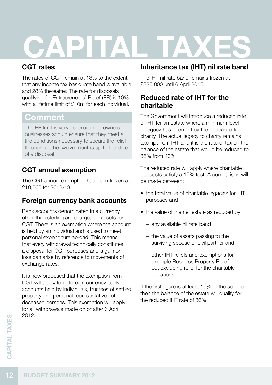# **CAPITAL T**

## **CGT rates**

The rates of CGT remain at 18% to the extent that any income tax basic rate band is available and 28% thereafter. The rate for disposals qualifying for Entrepreneurs' Relief (ER) is 10% with a lifetime limit of £10m for each individual

## **Comment**

The ER limit is very generous and owners of businesses should ensure that they meet all the conditions necessary to secure the relief throughout the twelve months up to the date of a disposal.

## **CGT annual exemption**

The CGT annual exemption has been frozen at £10,600 for 2012/13.

## **Foreign currency bank accounts**

Bank accounts denominated in a currency other than sterling are chargeable assets for CGT. There is an exemption where the account is held by an individual and is used to meet personal expenditure abroad. This means that every withdrawal technically constitutes a disposal for CGT purposes and a gain or loss can arise by reference to movements of exchange rates.

It is now proposed that the exemption from CGT will apply to all foreign currency bank accounts held by individuals, trustees of settled property and personal representatives of deceased persons. This exemption will apply for all withdrawals made on or after 6 April 2012.

## **Inheritance tax (IHT) nil rate band**

The IHT nil rate band remains frozen at £325,000 until 6 April 2015.

#### **Reduced rate of IHT for the charitable**

The Government will introduce a reduced rate of IHT for an estate where a minimum level of legacy has been left by the deceased to charity. The actual legacy to charity remains exempt from IHT and it is the rate of tax on the balance of the estate that would be reduced to 36% from 40%.

The reduced rate will apply where charitable bequests satisfy a 10% test. A comparison will be made between:

- the total value of charitable legacies for IHT purposes and
- the value of the net estate as reduced by:
	- any available nil rate band
	- the value of assets passing to the surviving spouse or civil partner and
	- other IHT reliefs and exemptions for example Business Property Relief but excluding relief for the charitable donations.

If the first figure is at least 10% of the second then the balance of the estate will qualify for the reduced IHT rate of 36%.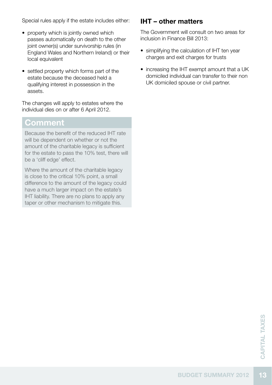Special rules apply if the estate includes either:

- property which is jointly owned which passes automatically on death to the other joint owner(s) under survivorship rules (in England Wales and Northern Ireland) or their local equivalent
- settled property which forms part of the estate because the deceased held a qualifying interest in possession in the assets.

The changes will apply to estates where the individual dies on or after 6 April 2012.

#### **Comment**

Because the benefit of the reduced IHT rate will be dependent on whether or not the amount of the charitable legacy is sufficient for the estate to pass the 10% test, there will be a 'cliff edge' effect.

Where the amount of the charitable legacy is close to the critical 10% point, a small difference to the amount of the legacy could have a much larger impact on the estate's IHT liability. There are no plans to apply any taper or other mechanism to mitigate this.

#### **IHT – other matters**

The Government will consult on two areas for inclusion in Finance Bill 2013:

- simplifying the calculation of IHT ten year charges and exit charges for trusts
- increasing the IHT exempt amount that a UK domiciled individual can transfer to their non UK domiciled spouse or civil partner.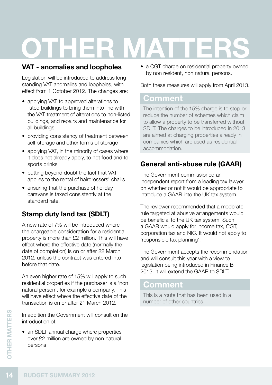# **OTHER M**

#### **VAT - anomalies and loopholes**

Legislation will be introduced to address longstanding VAT anomalies and loopholes, with effect from 1 October 2012. The changes are:

- applying VAT to approved alterations to listed buildings to bring them into line with the VAT treatment of alterations to non-listed buildings, and repairs and maintenance for all buildings
- providing consistency of treatment between self-storage and other forms of storage
- applying VAT, in the minority of cases where it does not already apply, to hot food and to sports drinks
- putting beyond doubt the fact that VAT applies to the rental of hairdressers' chairs
- ensuring that the purchase of holiday caravans is taxed consistently at the standard rate.

## **Stamp duty land tax (SDLT)**

A new rate of 7% will be introduced where the chargeable consideration for a residential property is more than £2 million. This will have effect where the effective date (normally the date of completion) is on or after 22 March 2012, unless the contract was entered into before that date.

An even higher rate of 15% will apply to such residential properties if the purchaser is a 'non natural person', for example a company. This will have effect where the effective date of the transaction is on or after 21 March 2012.

In addition the Government will consult on the introduction of:

• an SDLT annual charge where properties over £2 million are owned by non natural persons

• a CGT charge on residential property owned by non resident, non natural persons.

Both these measures will apply from April 2013.

## **Comment**

The intention of the 15% charge is to stop or reduce the number of schemes which claim to allow a property to be transferred without SDLT. The charges to be introduced in 2013 are aimed at charging properties already in companies which are used as residential accommodation.

## **General anti-abuse rule (GAAR)**

The Government commissioned an independent report from a leading tax lawyer on whether or not it would be appropriate to introduce a GAAR into the UK tax system.

The reviewer recommended that a moderate rule targeted at abusive arrangements would be beneficial to the UK tax system. Such a GAAR would apply for income tax, CGT, corporation tax and NIC. It would not apply to 'responsible tax planning'.

The Government accepts the recommendation and will consult this year with a view to legislation being introduced in Finance Bill 2013. It will extend the GAAR to SDLT.

## **Comment**

This is a route that has been used in a number of other countries.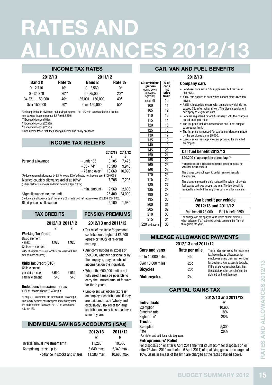## **rates and allowances 2012/13**

 $CO<sub>2</sub>$  emissions (gm/km) (round down to nearest 5gm/km)

% of car's list price taxed  $\frac{up to 99}{100}$  10  $\begin{array}{|c|c|c|}\n\hline\n100 & 11 \\
\hline\n105 & 12\n\end{array}$ 105  $\frac{110}{115}$   $\frac{13}{14}$  $\begin{array}{|c|c|c|}\n\hline\n115 & 14 \\
\hline\n120 & 15\n\end{array}$  $\begin{array}{|c|c|c|}\n\hline\n120 & 15 \\
\hline\n125 & 16\n\end{array}$  $\frac{125}{130}$  16 130  $\begin{array}{|c|c|c|c|}\n\hline\n135 & 18 \\
\hline\n140 & 19\n\end{array}$  $\frac{140}{145}$   $\frac{19}{20}$  $\begin{array}{|c|c|c|}\n 145 & 20 \\
 \hline\n 150 & 21\n \end{array}$ 150 155 22 160 | 23  $\begin{array}{|c|c|c|c|}\n\hline\n165 & 24 \\
\hline\n170 & 25\n\end{array}$ 170 25 175 180 27  $\frac{185}{190}$   $\frac{28}{29}$  $\begin{array}{|c|c|c|}\n\hline\n190 & 29 \\
\hline\n195 & 30\n\end{array}$  $\frac{195}{200}$   $\frac{30}{31}$  $\frac{1}{200}$ 205 32  $210$  33  $\frac{215}{\text{and above}}$  34  $\overline{220}$  and above

#### INCOME TAX RATES

| 2012/13          |              | 2011/12          |              |  |
|------------------|--------------|------------------|--------------|--|
| <b>Band £</b>    | Rate %       | <b>Band £</b>    | Rate %       |  |
| $0 - 2.710$      | $10*$        | $0 - 2.560$      | $10*$        |  |
| $0 - 34.370$     | $20**$       | $0 - 35,000$     | $20**$       |  |
| 34.371 - 150.000 | $40*$        | 35.001 - 150.000 | 40*          |  |
| Over 150,000     | $50^{\circ}$ | Over 150,000     | $50^{\circ}$ |  |

\*Only applicable to dividends and savings income. The 10% rate is not available if taxable non-savings income exceeds £2,710 (£2,560).

\*\* Except dividends (10%).

Except dividends (32.5%).

 $\bullet$  Except dividends (42.5%).

Other income taxed first, then savings income and finally dividends.

#### INCOME TAX Reliefs

|                                                                                                          |                 | 2012/13 2011/12<br>£ | ç      |
|----------------------------------------------------------------------------------------------------------|-----------------|----------------------|--------|
| Personal allowance                                                                                       | $-$ under 65    | 8.105                | 7.475  |
|                                                                                                          | $-65 - 74*$     | 10.500               | 9.940  |
|                                                                                                          | $-75$ and over* | 10.660               | 10.090 |
| (Reduce personal allowance by £1 for every £2 of adjusted net income over £100,000.)                     |                 |                      |        |
| Married couple's allowance (relief at 10%)*<br>(Either partner 75 or over and born before 6 April 1935.) |                 | 7.705                | 7.295  |
|                                                                                                          | - min. amount   | 2.960                | 2.800  |
| *Age allowance income limit                                                                              |                 | 25.400               | 24.000 |
| (Reduce age allowance by £1 for every £2 of adjusted net income over £25,400 (£24,000).)                 |                 |                      |        |
| Blind person's allowance                                                                                 |                 | 2.100                | 1.980  |

#### Pension premiums

#### 2012/13 and 2011/12

Working Tax Credit Basic element<br>- max 1,920 1,920 Childcare element 70% of eligible costs up to £175 per week (£300 if two or more children).

tax credits

2012/13 2011/12 £

£

#### Child Tax Credit (CTC)

| Child element    |       |       |
|------------------|-------|-------|
| per child - max. | 2.690 | 2.555 |
| Family element   | 545   | 545   |

#### Reductions in maximum rates

41% of income above £6,420\* p.a.

\*If only CTC is claimed, the threshold is £15,860 p.a. The family element of CTC tapers immediately after the child element from April 2012. The withdrawal rate is 41%.

#### • Tax relief available for personal contributions: higher of £3,600 (gross) or 100% of relevant earnings.

- • Any contributions in excess of £50,000, whether personal or by the employer, may be subject to income tax on the individual.
- • Where the £50,000 limit is not fully used it may be possible to carry the unused amount forward for three years.
- • Employers will obtain tax relief on employer contributions if they are paid and made 'wholly and exclusively'. Tax relief for large contributions may be spread over several years.

|  |  | <b>INDIVIDUAL SAVINGS ACCOUNTS (ISAs)</b> |  |
|--|--|-------------------------------------------|--|
|--|--|-------------------------------------------|--|

#### 2012/13 2011/12 £ £ Overall annual investment limit 11,280 10,680 Comprising - cash up to  $5.640$  max.  $5.340$  max. - balance in stocks and shares 11,280 max. 10,680 max.

#### car, VAN and fuel benefits

#### 2012/13

#### Company cars

- • For diesel cars add a 3% supplement but maximum still 35%.
- A 0% rate applies to cars which cannot emit CO<sub>2</sub> when driven.
- • A 5% rate applies to cars with emissions which do not exceed 75gm/km when driven. The diesel supplement can apply to 75gm/km cars.
- For cars registered before 1 January 1998 the charge is based on engine size.
- The list price includes accessories and is not subject to an upper limit.
- The list price is reduced for capital contributions made by the employee up to £5,000.
- • Special rules may apply to cars provided for disabled employees.

#### Car fuel benefit 2012/13

#### £20,200 x 'appropriate percentage'\*

\*Percentage used to calculate the taxable benefit of the car for which the fuel is provided.

The charge does not apply to certain environmentally friendly cars.

The charge is proportionately reduced if provision of private fuel ceases part way through the year. The fuel benefit is reduced to nil only if the employee pays for all private fuel.

#### Van benefit per vehicle 2012/13 and 2011/12 Van benefit £3,000 Fuel benefit £550 The charges do not apply to vans which cannot emit  $CO<sub>2</sub>$

when driven or if a 'restricted private use condition' is met throughout the year.

#### MII FAGE ALLOWANCE PAYMENTS

2012/13 and 2011/12

| <b>Cars and vans</b> | Rate per mile   | These rates represent the maximum                                           |
|----------------------|-----------------|-----------------------------------------------------------------------------|
| Up to 10,000 miles   | 45 <sub>D</sub> | tax free mileage allowances for<br>employees using their own vehicles       |
| Over 10.000 miles    | 25 <sub>D</sub> | for business. Any excess is taxable.                                        |
| <b>Bicvcles</b>      | 20 <sub>D</sub> | If the employee receives less than<br>the statutory rate, tax relief can be |
| <b>Motorcycles</b>   | 24 <sub>D</sub> | claimed on the difference.                                                  |

#### capital gains tax

| Over 10,000 miles<br><b>Bicycles</b>                                                                                                                                                 | 25p<br>20 <sub>p</sub>   | for business. Any excess is taxable.<br>If the employee receives less than<br>the statutory rate, tax relief can be                                                                                                                                                                                                | 2012/13              |
|--------------------------------------------------------------------------------------------------------------------------------------------------------------------------------------|--------------------------|--------------------------------------------------------------------------------------------------------------------------------------------------------------------------------------------------------------------------------------------------------------------------------------------------------------------|----------------------|
| <b>Motorcycles</b>                                                                                                                                                                   | 24p                      | claimed on the difference.                                                                                                                                                                                                                                                                                         |                      |
|                                                                                                                                                                                      | <b>CAPITAL GAINS TAX</b> |                                                                                                                                                                                                                                                                                                                    |                      |
| <b>Individuals</b><br>Exemption<br>Standard rate<br>Higher rate*<br>Trusts<br>Exemption<br><b>Rate</b><br>*For higher and additional rate taxpayers.<br><b>Entrepreneurs' Relief</b> |                          | 2012/13 and 2011/12<br>£<br>10,600<br>18%<br>28%<br>5,300<br>28%<br>For disposals on or after 6 April 2011 the first £10m (£5m for disposals on or<br>after 23 June 2010 and before 6 April 2011) of qualifying gains are charged at<br>10%. Gains in excess of the limit are charged at the rates detailed above. | RATES AND ALLOWANCES |
|                                                                                                                                                                                      |                          | <b>BUDGET SUMMARY 2012</b>                                                                                                                                                                                                                                                                                         |                      |

#### Entrepreneurs' Relief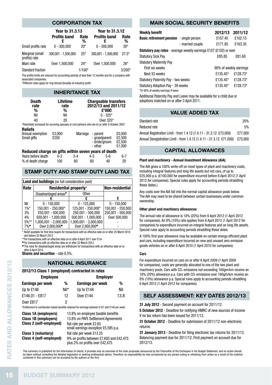#### corporation tax

|                                  | Year to 31.3.13     |           | Year to 31.3.12     |           |
|----------------------------------|---------------------|-----------|---------------------|-----------|
|                                  | <b>Profits band</b> | Rate<br>% | <b>Profits band</b> | Rate<br>% |
| Small profits rate               | $0 - 300.000$       | $20*$     | $0 - 300.000$       | $20*$     |
| Marginal (small<br>profits) rate | 300.001 - 1.500.000 | $25*$     | 300.001 - 1.500.000 | $27.5*$   |
| Main rate                        | Over 1.500.000      | $24*$     | Over 1,500,000      | $26*$     |
| <b>Standard fraction</b>         |                     | $1/100*$  |                     | $3/200*$  |

The profits limits are reduced for accounting periods of less than 12 months and for a company with associated companies.

\*Different rates apply for ring-fenced (broadly oil industry) profit.

#### Inheritance tax

| <b>Death</b><br>rate                                                                               | Lifetime<br>rate |          |                     | <b>Chargeable transfers</b><br>2012/13 and 2011/12 |                                      |
|----------------------------------------------------------------------------------------------------|------------------|----------|---------------------|----------------------------------------------------|--------------------------------------|
| %                                                                                                  | %                |          |                     | £'000                                              |                                      |
| Nil                                                                                                | Nil              |          |                     | $0 - 325*$                                         |                                      |
| 40                                                                                                 | 20               |          |                     | 0ver 325*                                          |                                      |
| *Potentially increased for surviving spouses or civil partners who die on or after 9 October 2007. |                  |          |                     |                                                    |                                      |
| <b>Reliefs</b>                                                                                     |                  |          |                     |                                                    |                                      |
| Annual exemption<br>Small gifts                                                                    | £3.000<br>£250   | Marriage | - parent<br>- other | - grandparent<br>- bride/groom                     | £5.000<br>£2.500<br>£2,500<br>£1.000 |
| Reduced charge on gifts within seven years of death                                                |                  |          |                     |                                                    |                                      |
| Years before death                                                                                 | $0 - 3$          | $3-4$    | $4 - 5$             | $5-6$                                              | $6 - 7$                              |
| % of death charge                                                                                  | 100              | 80       | 60                  | 40                                                 | 20                                   |

#### Stamp duty AND stamp duty land tax

| Land and buildings (on full consideration paid) |                                  |                             |                   |  |
|-------------------------------------------------|----------------------------------|-----------------------------|-------------------|--|
| Rate                                            | Residential property*            | Non-residential             |                   |  |
|                                                 | Disadvantaged areas <sup>+</sup> | Other                       |                   |  |
|                                                 |                                  |                             | £                 |  |
| Nil                                             | $0 - 150.000$                    | $0 - 125.000$               | $0 - 150.000$     |  |
| 1%                                              | 150.001 - 250.000*               | 125.001 - 250.000*          | 150.001 - 250.000 |  |
| 3%                                              | 250.001 - 500.000                | 250.001 - 500.000           | 250.001 - 500.000 |  |
| 4%                                              | $500,001 - 1,000,000$            | $500.001 - 1.000.000$       | Over 500,000      |  |
| $5%$ **                                         | 1,000,001 - 2,000,000            | 1.000.001 - 2.000.000       |                   |  |
| $7\%$                                           | Over 2.000.000 <sup>°</sup>      | Over 2.000.000 <sup>*</sup> |                   |  |

\* Relief available for first time buyers for transactions with an effective date on or after 25 March 2010 and before 25 March 2012.

\*\*For transactions with an effective date on or after 6 April 2011 over £1m.

l For transactions with an effective date on or after 22 March 2012. The rules for disadvantaged areas are withdrawn for transactions with an effective date on or

after 6 April 2013.

Shares and securities - rate 0.5%.

#### national insurance

#### 2012/13 Class 1 (employed) contracted in rates

|                              | <b>NATIONAL INSURANCE</b>                                                             |      |                                                                                                                                                                                                            |      |  |
|------------------------------|---------------------------------------------------------------------------------------|------|------------------------------------------------------------------------------------------------------------------------------------------------------------------------------------------------------------|------|--|
| RATES AND ALLOWANCES 2012/13 | 2012/13 Class 1 (employed) contracted in rates<br><b>Employee</b>                     |      | <b>Employer</b>                                                                                                                                                                                            |      |  |
|                              | Earnings per week                                                                     | %    | Earnings per week                                                                                                                                                                                          | %    |  |
|                              | Up to £146                                                                            | Nil* | Up to £144                                                                                                                                                                                                 | Nil  |  |
|                              | £146.01 - £817                                                                        | 12   | Over £144                                                                                                                                                                                                  | 13.8 |  |
|                              | Over £817                                                                             | 2    | *Entitlement to contribution-based benefits retained for earnings between £107 and £146 per week.                                                                                                          |      |  |
|                              | <b>Class 1A (employers)</b><br><b>Class 1B (employers)</b><br>Class 2 (self-employed) |      | 13.8% on employee taxable benefits<br>13.8% on PAYE Settlement Agreements<br>flat rate per week £2.65<br>small earnings exception £5,595 p.a.                                                              |      |  |
|                              | Class 3 (voluntary)<br>Class 4 (self-employed)                                        |      | flat rate per week £13.25<br>9% on profits between £7,605 and £42,475<br>plus 2% on profits over £42,475                                                                                                   |      |  |
|                              | contained in this summary can be accepted by the authors or the firm.                 |      | This summary is published for the information of clients. It provides only an overview of the main<br>be taken without consulting the detailed legislation or seeking professional advice. Therefore no re |      |  |
|                              | <b>BUDGET SUMMARY 2012</b>                                                            |      |                                                                                                                                                                                                            |      |  |

#### main social security benefits

| <b>Weekly benefit</b>                                                    | 2012/13                | 2011/12  |
|--------------------------------------------------------------------------|------------------------|----------|
| <b>Basic retirement pension</b> - single person                          | £107.45                | £102.15  |
| - married couple                                                         | £17185                 | £163.35  |
| <b>Statutory pay rates</b> - average weekly earnings £107 (£102) or over |                        |          |
| <b>Statutory Sick Pay</b>                                                | £85.85                 | £81.60   |
| <b>Statutory Maternity Pay</b>                                           |                        |          |
| First six weeks                                                          | 90% of weekly earnings |          |
| Next 33 weeks                                                            | £135.45*               | £128.73* |
| Statutory Paternity Pay - two weeks                                      | £135.45*               | £128.73* |
| <b>Statutory Adoption Pay - 39 weeks</b>                                 | £135.45*               | £128.73* |
| *Or 90% of weekly earnings if lower.                                     |                        |          |

Additional Paternity Pay and Leave may be available for a child due or adoptions matched on or after 3 April 2011.

#### value added tax

| Standard rate                                                        | <b>20%</b> |
|----------------------------------------------------------------------|------------|
| Reduced rate                                                         | 5%         |
| Annual Registration Limit - from 1.4.12 (1.4.11 - 31.3.12 £73.000)   | £77.000    |
| Annual Deregistration Limit - from 1.4.12 (1.4.11 - 31.3.12 £71,000) | £75.000    |

#### capital allowances

#### Plant and machinery - Annual Investment Allowance (AIA)

The AIA gives a 100% write-off on most types of plant and machinery costs, including integral features and long life assets but not cars, of up to £25,000 p.a. (£100,000 for expenditure incurred before 6 April 2012 (1 April 2012 for companies). Special rules apply for accounting periods straddling these dates.)

Any costs over the AIA fall into the normal capital allowance pools below. The AIA may need to be shared between certain businesses under common **Ownership** 

#### Other plant and machinery allowances

The annual rate of allowance is 18% (20%) from 6 April 2012 (1 April 2012 for companies). An 8% (10%) rate applies from 6 April 2012 (1 April 2012 for companies) to expenditure incurred on integral features and on long life assets. Special rules apply to accounting periods straddling these dates.

A 100% first year allowance may be available on certain energy efficient plant and cars, including expenditure incurred on new and unused zero emission goods vehicles on or after 6 April 2010 (1 April 2010 for companies).

#### Corp.

For expenditure incurred on cars on or after 6 April 2009 (1 April 2009 for companies), costs are generally allocated to one of the two plant and machinery pools. Cars with CO<sub>2</sub> emissions not exceeding 160gm/km receive an 18% (20%) allowance p.a. Cars with CO<sub>2</sub> emissions over 160gm/km receive an 8% (10%) allowance p.a. Special rules apply to accounting periods straddling 6 April 2012 (1 April 2012 for companies).

#### self assessment: key dates 2012/13

31 July 2012 - Second payment on account for 2011/12.

5 October 2012 - Deadline for notifying HMRC of new sources of income if no tax return has been issued for 2011/12.

31 October 2012 - Deadline for submission of 2011/12 non-electronic returns.

31 January 2013 - Deadline for filing electronic tax returns for 2011/12. Balancing payment due for 2011/12. First payment on account due for 2012/13.

This summary is published for the information of clients. It provides only an overview of the main proposals announced by the Chancellor of the Exchequer in his Budget Statement, and no action should<br>be taken without consu contained in this summary can be accepted by the authors or the firm.